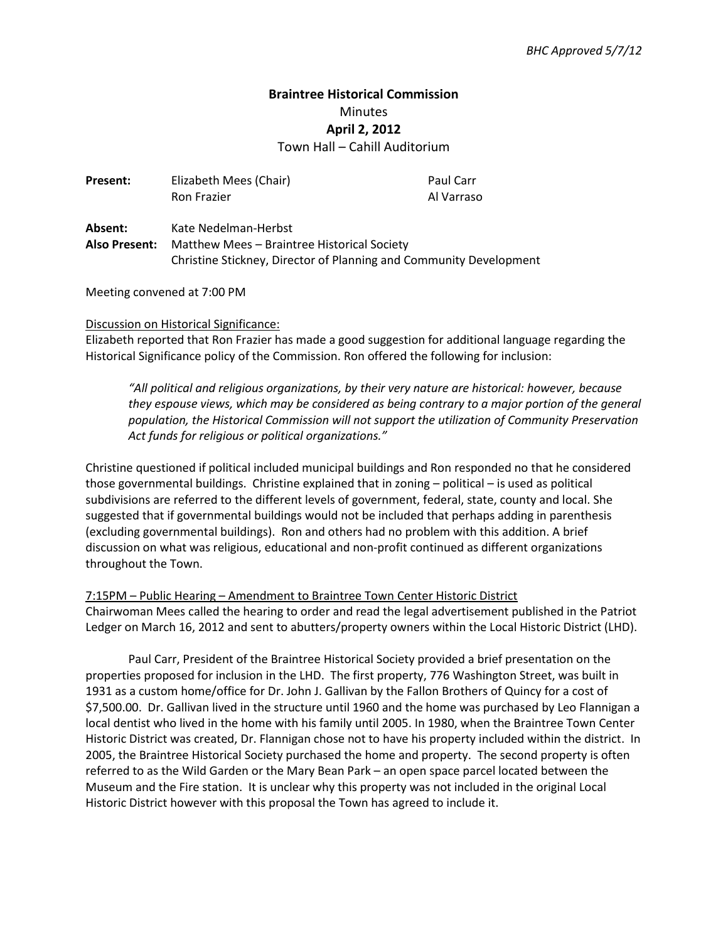# **Braintree Historical Commission**  Minutes **April 2, 2012**

Town Hall – Cahill Auditorium

| <b>Present:</b> | Elizabeth Mees (Chair)                                             | Paul Carr  |
|-----------------|--------------------------------------------------------------------|------------|
|                 | <b>Ron Frazier</b>                                                 | Al Varraso |
| Absent:         | Kate Nedelman-Herbst                                               |            |
| Also Present:   | Matthew Mees – Braintree Historical Society                        |            |
|                 | Christine Stickney, Director of Planning and Community Development |            |

Meeting convened at 7:00 PM

#### Discussion on Historical Significance:

Elizabeth reported that Ron Frazier has made a good suggestion for additional language regarding the Historical Significance policy of the Commission. Ron offered the following for inclusion:

*"All political and religious organizations, by their very nature are historical: however, because they espouse views, which may be considered as being contrary to a major portion of the general population, the Historical Commission will not support the utilization of Community Preservation Act funds for religious or political organizations."*

Christine questioned if political included municipal buildings and Ron responded no that he considered those governmental buildings. Christine explained that in zoning – political – is used as political subdivisions are referred to the different levels of government, federal, state, county and local. She suggested that if governmental buildings would not be included that perhaps adding in parenthesis (excluding governmental buildings). Ron and others had no problem with this addition. A brief discussion on what was religious, educational and non-profit continued as different organizations throughout the Town.

7:15PM – Public Hearing – Amendment to Braintree Town Center Historic District Chairwoman Mees called the hearing to order and read the legal advertisement published in the Patriot Ledger on March 16, 2012 and sent to abutters/property owners within the Local Historic District (LHD).

Paul Carr, President of the Braintree Historical Society provided a brief presentation on the properties proposed for inclusion in the LHD. The first property, 776 Washington Street, was built in 1931 as a custom home/office for Dr. John J. Gallivan by the Fallon Brothers of Quincy for a cost of \$7,500.00. Dr. Gallivan lived in the structure until 1960 and the home was purchased by Leo Flannigan a local dentist who lived in the home with his family until 2005. In 1980, when the Braintree Town Center Historic District was created, Dr. Flannigan chose not to have his property included within the district. In 2005, the Braintree Historical Society purchased the home and property. The second property is often referred to as the Wild Garden or the Mary Bean Park – an open space parcel located between the Museum and the Fire station. It is unclear why this property was not included in the original Local Historic District however with this proposal the Town has agreed to include it.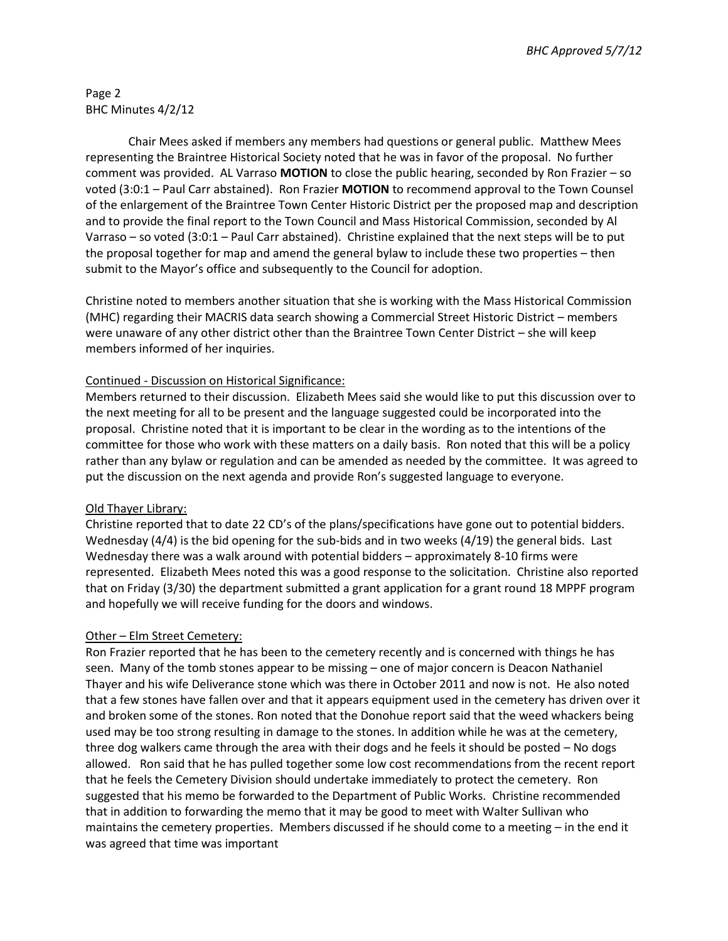*BHC Approved 5/7/12*

### Page 2 BHC Minutes 4/2/12

Chair Mees asked if members any members had questions or general public. Matthew Mees representing the Braintree Historical Society noted that he was in favor of the proposal. No further comment was provided. AL Varraso **MOTION** to close the public hearing, seconded by Ron Frazier – so voted (3:0:1 – Paul Carr abstained). Ron Frazier **MOTION** to recommend approval to the Town Counsel of the enlargement of the Braintree Town Center Historic District per the proposed map and description and to provide the final report to the Town Council and Mass Historical Commission, seconded by Al Varraso – so voted (3:0:1 – Paul Carr abstained). Christine explained that the next steps will be to put the proposal together for map and amend the general bylaw to include these two properties – then submit to the Mayor's office and subsequently to the Council for adoption.

Christine noted to members another situation that she is working with the Mass Historical Commission (MHC) regarding their MACRIS data search showing a Commercial Street Historic District – members were unaware of any other district other than the Braintree Town Center District – she will keep members informed of her inquiries.

### Continued - Discussion on Historical Significance:

Members returned to their discussion. Elizabeth Mees said she would like to put this discussion over to the next meeting for all to be present and the language suggested could be incorporated into the proposal. Christine noted that it is important to be clear in the wording as to the intentions of the committee for those who work with these matters on a daily basis. Ron noted that this will be a policy rather than any bylaw or regulation and can be amended as needed by the committee. It was agreed to put the discussion on the next agenda and provide Ron's suggested language to everyone.

### Old Thayer Library:

Christine reported that to date 22 CD's of the plans/specifications have gone out to potential bidders. Wednesday (4/4) is the bid opening for the sub-bids and in two weeks (4/19) the general bids. Last Wednesday there was a walk around with potential bidders – approximately 8-10 firms were represented. Elizabeth Mees noted this was a good response to the solicitation. Christine also reported that on Friday (3/30) the department submitted a grant application for a grant round 18 MPPF program and hopefully we will receive funding for the doors and windows.

### Other – Elm Street Cemetery:

Ron Frazier reported that he has been to the cemetery recently and is concerned with things he has seen. Many of the tomb stones appear to be missing – one of major concern is Deacon Nathaniel Thayer and his wife Deliverance stone which was there in October 2011 and now is not. He also noted that a few stones have fallen over and that it appears equipment used in the cemetery has driven over it and broken some of the stones. Ron noted that the Donohue report said that the weed whackers being used may be too strong resulting in damage to the stones. In addition while he was at the cemetery, three dog walkers came through the area with their dogs and he feels it should be posted – No dogs allowed. Ron said that he has pulled together some low cost recommendations from the recent report that he feels the Cemetery Division should undertake immediately to protect the cemetery. Ron suggested that his memo be forwarded to the Department of Public Works. Christine recommended that in addition to forwarding the memo that it may be good to meet with Walter Sullivan who maintains the cemetery properties. Members discussed if he should come to a meeting – in the end it was agreed that time was important